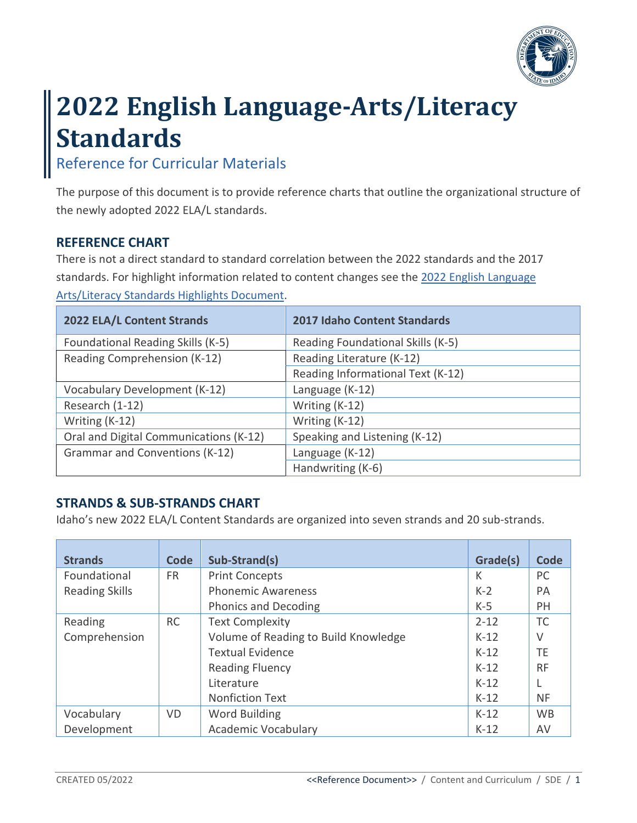

# **2022 English Language-Arts/Literacy Standards**

## Reference for Curricular Materials

The purpose of this document is to provide reference charts that outline the organizational structure of the newly adopted 2022 ELA/L standards.

#### **REFERENCE CHART**

There is not a direct standard to standard correlation between the 2022 standards and the 2017 standards. For highlight information related to content changes see the 2022 English Language [Arts/Literacy Standards Highlights Document.](https://www.sde.idaho.gov/academic/standards/files/standards-review/ela/ELA-Revised-Standards-Highlights-04-2022.pdf)

| 2022 ELA/L Content Strands             | <b>2017 Idaho Content Standards</b> |
|----------------------------------------|-------------------------------------|
| Foundational Reading Skills (K-5)      | Reading Foundational Skills (K-5)   |
| Reading Comprehension (K-12)           | Reading Literature (K-12)           |
|                                        | Reading Informational Text (K-12)   |
| Vocabulary Development (K-12)          | Language (K-12)                     |
| Research (1-12)                        | Writing (K-12)                      |
| Writing (K-12)                         | Writing (K-12)                      |
| Oral and Digital Communications (K-12) | Speaking and Listening (K-12)       |
| Grammar and Conventions (K-12)         | Language (K-12)                     |
|                                        | Handwriting (K-6)                   |

#### **STRANDS & SUB-STRANDS CHART**

Idaho's new 2022 ELA/L Content Standards are organized into seven strands and 20 sub-strands.

| <b>Strands</b>        | Code      | Sub-Strand(s)                        | Grade(s) | Code      |
|-----------------------|-----------|--------------------------------------|----------|-----------|
| Foundational          | <b>FR</b> | <b>Print Concepts</b>                | K        | PC        |
| <b>Reading Skills</b> |           | <b>Phonemic Awareness</b>            | $K-2$    | <b>PA</b> |
|                       |           | <b>Phonics and Decoding</b>          | $K-5$    | <b>PH</b> |
| Reading               | <b>RC</b> | <b>Text Complexity</b>               | $2 - 12$ | <b>TC</b> |
| Comprehension         |           | Volume of Reading to Build Knowledge | $K-12$   | $\vee$    |
|                       |           | <b>Textual Evidence</b>              | $K-12$   | TE        |
|                       |           | <b>Reading Fluency</b>               | $K-12$   | <b>RF</b> |
|                       |           | Literature                           | $K-12$   |           |
|                       |           | <b>Nonfiction Text</b>               | $K-12$   | <b>NF</b> |
| Vocabulary            | <b>VD</b> | Word Building                        | $K-12$   | <b>WB</b> |
| Development           |           | <b>Academic Vocabulary</b>           | $K-12$   | AV        |